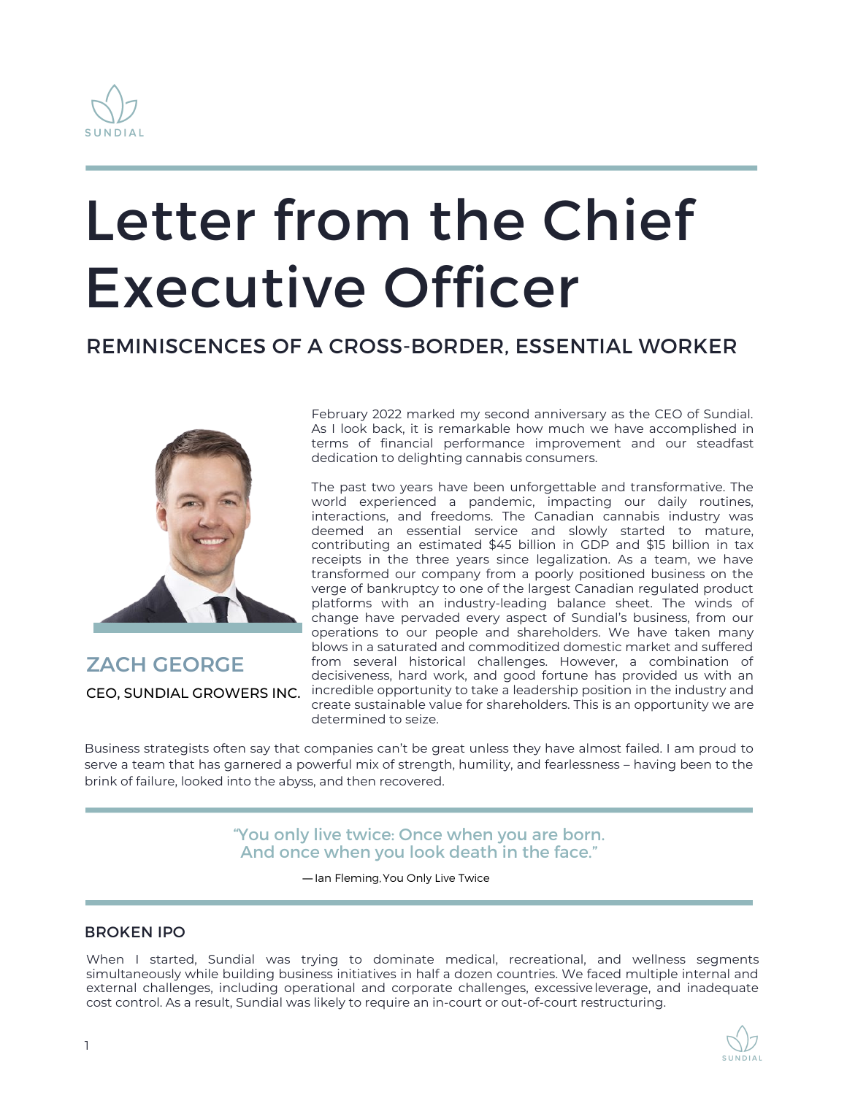

# Letter from the Chief Executive Officer

### REMINISCENCES OF A CROSS-BORDER, ESSENTIAL WORKER



**ZACH GEORGE** CEO, SUNDIAL GROWERS INC.

February 2022 marked my second anniversary as the CEO of Sundial. As I look back, it is remarkable how much we have accomplished in terms of financial performance improvement and our steadfast dedication to delighting cannabis consumers.

The past two years have been unforgettable and transformative. The world experienced a pandemic, impacting our daily routines, interactions, and freedoms. The Canadian cannabis industry was deemed an essential service and slowly started to mature, contributing an estimated \$45 billion in GDP and \$15 billion in tax receipts in the three years since legalization. As a team, we have transformed our company from a poorly positioned business on the verge of bankruptcy to one of the largest Canadian regulated product platforms with an industry-leading balance sheet. The winds of change have pervaded every aspect of Sundial's business, from our operations to our people and shareholders. We have taken many blows in a saturated and commoditized domestic market and suffered from several historical challenges. However, a combination of decisiveness, hard work, and good fortune has provided us with an incredible opportunity to take a leadership position in the industry and create sustainable value for shareholders. This is an opportunity we are determined to seize.

Business strategists often say that companies can't be great unless they have almost failed. I am proud to serve a team that has garnered a powerful mix of strength, humility, and fearlessness – having been to the brink of failure, looked into the abyss, and then recovered.

> "You only live twice: Once when you are born. And once when you look death in the face."

> > ―Ian Fleming,You Only Live Twice

#### BROKEN IPO

When I started, Sundial was trying to dominate medical, recreational, and wellness segments simultaneously while building business initiatives in half a dozen countries. We faced multiple internal and external challenges, including operational and corporate challenges, excessiveleverage, and inadequate cost control. As a result, Sundial was likely to require an in-court or out-of-court restructuring.

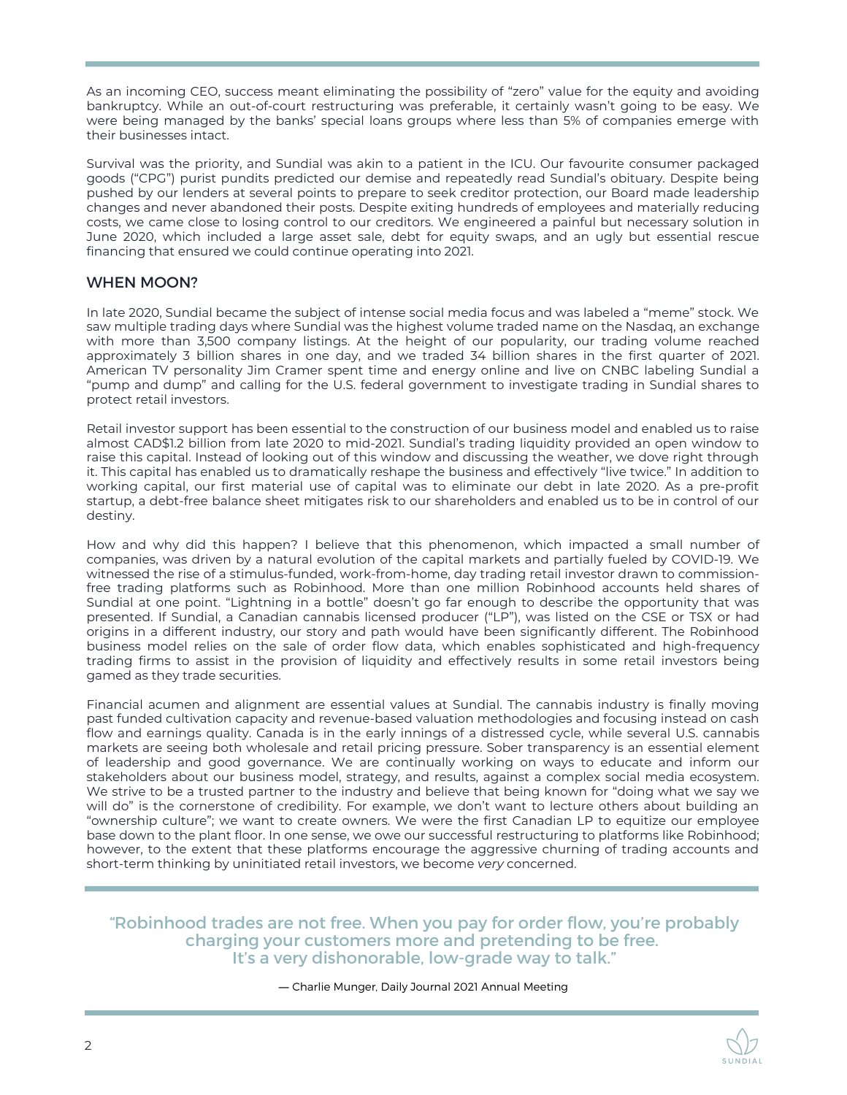As an incoming CEO, success meant eliminating the possibility of "zero" value for the equity and avoiding bankruptcy. While an out-of-court restructuring was preferable, it certainly wasn't going to be easy. We were being managed by the banks' special loans groups where less than 5% of companies emerge with their businesses intact.

Survival was the priority, and Sundial was akin to a patient in the ICU. Our favourite consumer packaged goods ("CPG") purist pundits predicted our demise and repeatedly read Sundial's obituary. Despite being pushed by our lenders at several points to prepare to seek creditor protection, our Board made leadership changes and never abandoned their posts. Despite exiting hundreds of employees and materially reducing costs, we came close to losing control to our creditors. We engineered a painful but necessary solution in June 2020, which included a large asset sale, debt for equity swaps, and an ugly but essential rescue financing that ensured we could continue operating into 2021.

#### WHEN MOON?

In late 2020, Sundial became the subject of intense social media focus and was labeled a "meme" stock. We saw multiple trading days where Sundial was the highest volume traded name on the Nasdaq, an exchange with more than 3,500 company listings. At the height of our popularity, our trading volume reached approximately 3 billion shares in one day, and we traded 34 billion shares in the first quarter of 2021. American TV personality Jim Cramer spent time and energy online and live on CNBC labeling Sundial a "pump and dump" and calling for the U.S. federal government to investigate trading in Sundial shares to protect retail investors.

Retail investor support has been essential to the construction of our business model and enabled us to raise almost CAD\$1.2 billion from late 2020 to mid-2021. Sundial's trading liquidity provided an open window to raise this capital. Instead of looking out of this window and discussing the weather, we dove right through it. This capital has enabled us to dramatically reshape the business and effectively "live twice." In addition to working capital, our first material use of capital was to eliminate our debt in late 2020. As a pre-profit startup, a debt-free balance sheet mitigates risk to our shareholders and enabled us to be in control of our destiny.

How and why did this happen? I believe that this phenomenon, which impacted a small number of companies, was driven by a natural evolution of the capital markets and partially fueled by COVID-19. We witnessed the rise of a stimulus-funded, work-from-home, day trading retail investor drawn to commissionfree trading platforms such as Robinhood. More than one million Robinhood accounts held shares of Sundial at one point. "Lightning in a bottle" doesn't go far enough to describe the opportunity that was presented. If Sundial, a Canadian cannabis licensed producer ("LP"), was listed on the CSE or TSX or had origins in a different industry, our story and path would have been significantly different. The Robinhood business model relies on the sale of order flow data, which enables sophisticated and high-frequency trading firms to assist in the provision of liquidity and effectively results in some retail investors being gamed as they trade securities.

Financial acumen and alignment are essential values at Sundial. The cannabis industry is finally moving past funded cultivation capacity and revenue-based valuation methodologies and focusing instead on cash flow and earnings quality. Canada is in the early innings of a distressed cycle, while several U.S. cannabis markets are seeing both wholesale and retail pricing pressure. Sober transparency is an essential element of leadership and good governance. We are continually working on ways to educate and inform our stakeholders about our business model, strategy, and results, against a complex social media ecosystem. We strive to be a trusted partner to the industry and believe that being known for "doing what we say we will do" is the cornerstone of credibility. For example, we don't want to lecture others about building an "ownership culture"; we want to create owners. We were the first Canadian LP to equitize our employee base down to the plant floor. In one sense, we owe our successful restructuring to platforms like Robinhood; however, to the extent that these platforms encourage the aggressive churning of trading accounts and short-term thinking by uninitiated retail investors, we become *very* concerned.

"Robinhood trades are not free. When you pay for order flow, you're probably charging your customers more and pretending to be free. It's a very dishonorable, low-grade way to talk."

― Charlie Munger, Daily Journal 2021 Annual Meeting

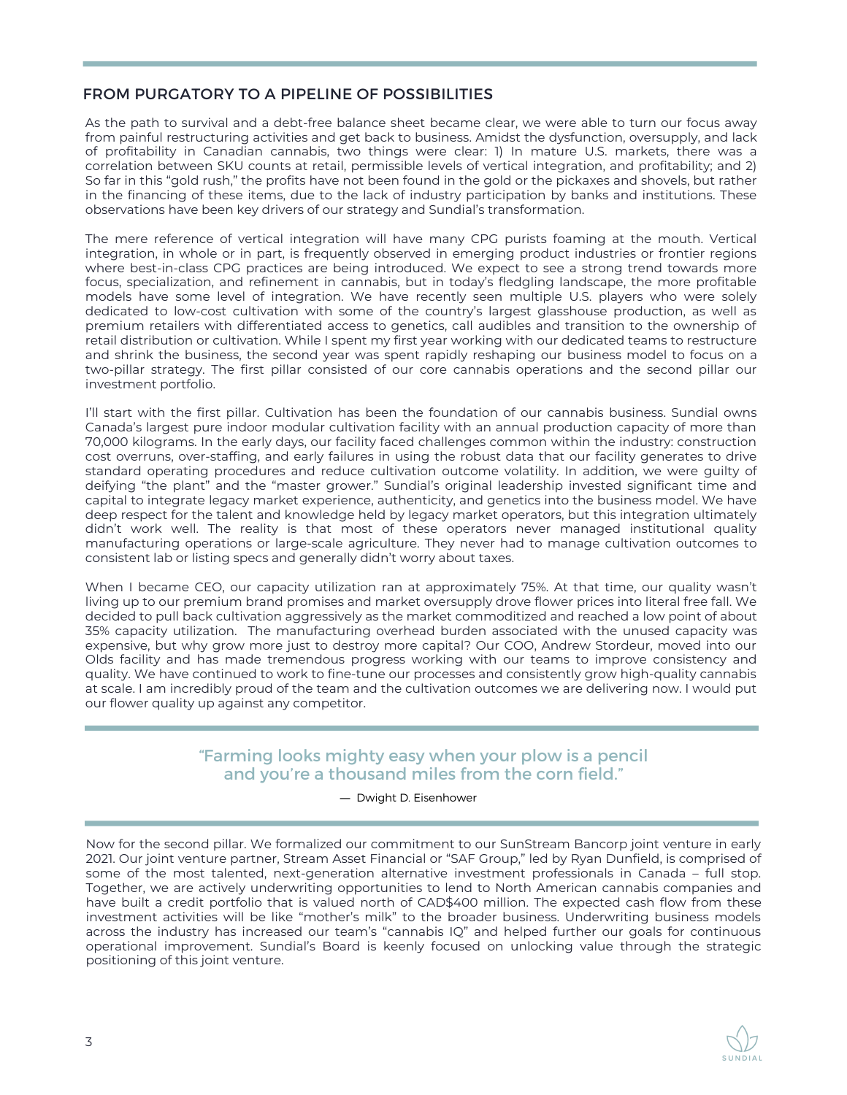#### FROM PURGATORY TO A PIPELINE OF POSSIBILITIES

As the path to survival and a debt-free balance sheet became clear, we were able to turn our focus away from painful restructuring activities and get back to business. Amidst the dysfunction, oversupply, and lack of profitability in Canadian cannabis, two things were clear: 1) In mature U.S. markets, there was a correlation between SKU counts at retail, permissible levels of vertical integration, and profitability; and 2) So far in this "gold rush," the profits have not been found in the gold or the pickaxes and shovels, but rather in the financing of these items, due to the lack of industry participation by banks and institutions. These observations have been key drivers of our strategy and Sundial's transformation.

The mere reference of vertical integration will have many CPG purists foaming at the mouth. Vertical integration, in whole or in part, is frequently observed in emerging product industries or frontier regions where best-in-class CPG practices are being introduced. We expect to see a strong trend towards more focus, specialization, and refinement in cannabis, but in today's fledgling landscape, the more profitable models have some level of integration. We have recently seen multiple U.S. players who were solely dedicated to low-cost cultivation with some of the country's largest glasshouse production, as well as premium retailers with differentiated access to genetics, call audibles and transition to the ownership of retail distribution or cultivation. While I spent my first year working with our dedicated teams to restructure and shrink the business, the second year was spent rapidly reshaping our business model to focus on a two-pillar strategy. The first pillar consisted of our core cannabis operations and the second pillar our investment portfolio.

I'll start with the first pillar. Cultivation has been the foundation of our cannabis business. Sundial owns Canada's largest pure indoor modular cultivation facility with an annual production capacity of more than 70,000 kilograms. In the early days, our facility faced challenges common within the industry: construction cost overruns, over-staffing, and early failures in using the robust data that our facility generates to drive standard operating procedures and reduce cultivation outcome volatility. In addition, we were guilty of deifying "the plant" and the "master grower." Sundial's original leadership invested significant time and capital to integrate legacy market experience, authenticity, and genetics into the business model. We have deep respect for the talent and knowledge held by legacy market operators, but this integration ultimately didn't work well. The reality is that most of these operators never managed institutional quality manufacturing operations or large-scale agriculture. They never had to manage cultivation outcomes to consistent lab or listing specs and generally didn't worry about taxes.

When I became CEO, our capacity utilization ran at approximately 75%. At that time, our quality wasn't living up to our premium brand promises and market oversupply drove flower prices into literal free fall. We decided to pull back cultivation aggressively as the market commoditized and reached a low point of about 35% capacity utilization. The manufacturing overhead burden associated with the unused capacity was expensive, but why grow more just to destroy more capital? Our COO, Andrew Stordeur, moved into our Olds facility and has made tremendous progress working with our teams to improve consistency and quality. We have continued to work to fine-tune our processes and consistently grow high-quality cannabis at scale. I am incredibly proud of the team and the cultivation outcomes we are delivering now. I would put our flower quality up against any competitor.

#### "Farming looks mighty easy when your plow is a pencil and you're a thousand miles from the corn field."

#### ― Dwight D. Eisenhower

Now for the second pillar. We formalized our commitment to our SunStream Bancorp joint venture in early 2021. Our joint venture partner, Stream Asset Financial or "SAF Group," led by Ryan Dunfield, is comprised of some of the most talented, next-generation alternative investment professionals in Canada – full stop. Together, we are actively underwriting opportunities to lend to North American cannabis companies and have built a credit portfolio that is valued north of CAD\$400 million. The expected cash flow from these investment activities will be like "mother's milk" to the broader business. Underwriting business models across the industry has increased our team's "cannabis IQ" and helped further our goals for continuous operational improvement. Sundial's Board is keenly focused on unlocking value through the strategic positioning of this joint venture.

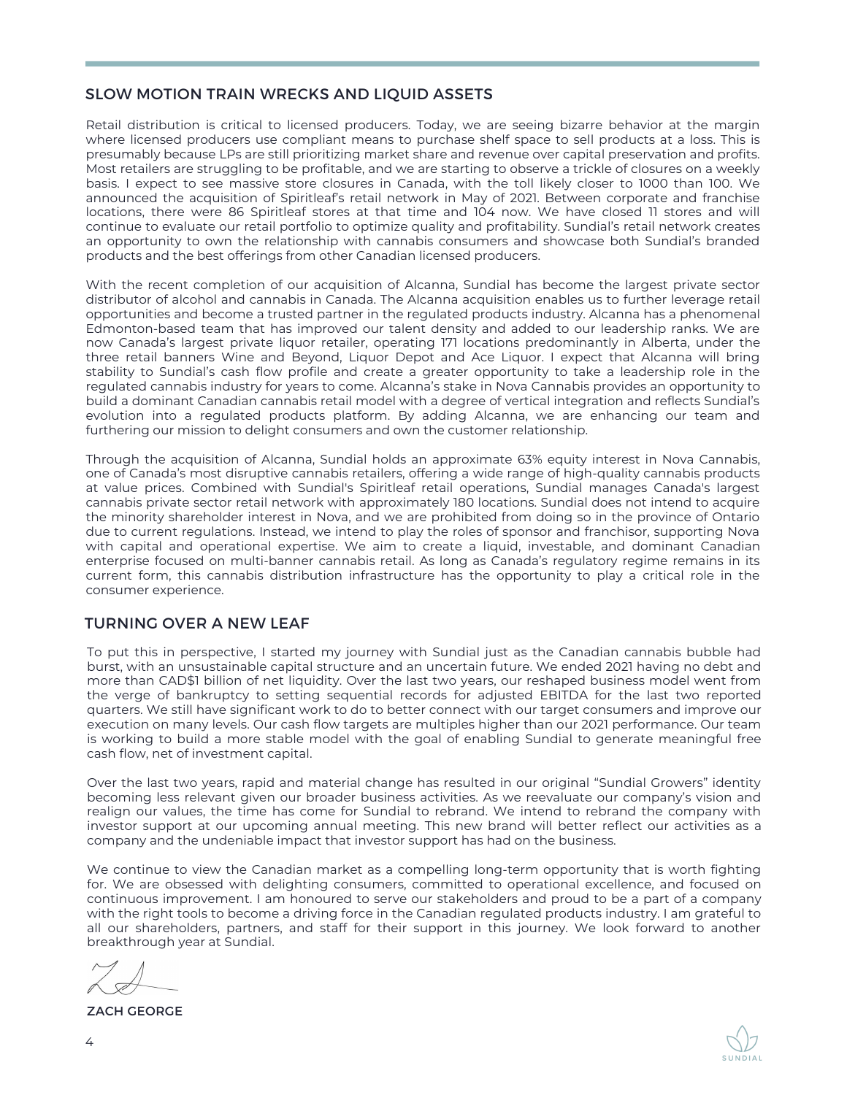#### SLOW MOTION TRAIN WRECKS AND LIQUID ASSETS

Retail distribution is critical to licensed producers. Today, we are seeing bizarre behavior at the margin where licensed producers use compliant means to purchase shelf space to sell products at a loss. This is presumably because LPs are still prioritizing market share and revenue over capital preservation and profits. Most retailers are struggling to be profitable, and we are starting to observe a trickle of closures on a weekly basis. I expect to see massive store closures in Canada, with the toll likely closer to 1000 than 100. We announced the acquisition of Spiritleaf's retail network in May of 2021. Between corporate and franchise locations, there were 86 Spiritleaf stores at that time and 104 now. We have closed 11 stores and will continue to evaluate our retail portfolio to optimize quality and profitability. Sundial's retail network creates an opportunity to own the relationship with cannabis consumers and showcase both Sundial's branded products and the best offerings from other Canadian licensed producers.

With the recent completion of our acquisition of Alcanna, Sundial has become the largest private sector distributor of alcohol and cannabis in Canada. The Alcanna acquisition enables us to further leverage retail opportunities and become a trusted partner in the regulated products industry. Alcanna has a phenomenal Edmonton-based team that has improved our talent density and added to our leadership ranks. We are now Canada's largest private liquor retailer, operating 171 locations predominantly in Alberta, under the three retail banners Wine and Beyond, Liquor Depot and Ace Liquor. I expect that Alcanna will bring stability to Sundial's cash flow profile and create a greater opportunity to take a leadership role in the regulated cannabis industry for years to come. Alcanna's stake in Nova Cannabis provides an opportunity to build a dominant Canadian cannabis retail model with a degree of vertical integration and reflects Sundial's evolution into a regulated products platform. By adding Alcanna, we are enhancing our team and furthering our mission to delight consumers and own the customer relationship.

Through the acquisition of Alcanna, Sundial holds an approximate 63% equity interest in Nova Cannabis, one of Canada's most disruptive cannabis retailers, offering a wide range of high-quality cannabis products at value prices. Combined with Sundial's Spiritleaf retail operations, Sundial manages Canada's largest cannabis private sector retail network with approximately 180 locations. Sundial does not intend to acquire the minority shareholder interest in Nova, and we are prohibited from doing so in the province of Ontario due to current regulations. Instead, we intend to play the roles of sponsor and franchisor, supporting Nova with capital and operational expertise. We aim to create a liquid, investable, and dominant Canadian enterprise focused on multi-banner cannabis retail. As long as Canada's regulatory regime remains in its current form, this cannabis distribution infrastructure has the opportunity to play a critical role in the consumer experience.

#### TURNING OVER A NEW LEAF

To put this in perspective, I started my journey with Sundial just as the Canadian cannabis bubble had burst, with an unsustainable capital structure and an uncertain future. We ended 2021 having no debt and more than CAD\$1 billion of net liquidity. Over the last two years, our reshaped business model went from the verge of bankruptcy to setting sequential records for adjusted EBITDA for the last two reported quarters. We still have significant work to do to better connect with our target consumers and improve our execution on many levels. Our cash flow targets are multiples higher than our 2021 performance. Our team is working to build a more stable model with the goal of enabling Sundial to generate meaningful free cash flow, net of investment capital.

Over the last two years, rapid and material change has resulted in our original "Sundial Growers" identity becoming less relevant given our broader business activities. As we reevaluate our company's vision and realign our values, the time has come for Sundial to rebrand. We intend to rebrand the company with investor support at our upcoming annual meeting. This new brand will better reflect our activities as a company and the undeniable impact that investor support has had on the business.

We continue to view the Canadian market as a compelling long-term opportunity that is worth fighting for. We are obsessed with delighting consumers, committed to operational excellence, and focused on continuous improvement. I am honoured to serve our stakeholders and proud to be a part of a company with the right tools to become a driving force in the Canadian regulated products industry. I am grateful to all our shareholders, partners, and staff for their support in this journey. We look forward to another breakthrough year at Sundial.

ZACH GEORGE